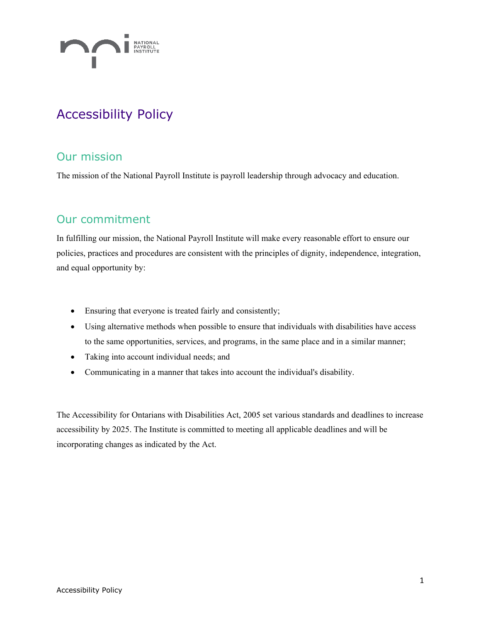

# Accessibility Policy

# Our mission

The mission of the National Payroll Institute is payroll leadership through advocacy and education.

### Our commitment

In fulfilling our mission, the National Payroll Institute will make every reasonable effort to ensure our policies, practices and procedures are consistent with the principles of dignity, independence, integration, and equal opportunity by:

- Ensuring that everyone is treated fairly and consistently;
- Using alternative methods when possible to ensure that individuals with disabilities have access to the same opportunities, services, and programs, in the same place and in a similar manner;
- Taking into account individual needs; and
- Communicating in a manner that takes into account the individual's disability.

The Accessibility for Ontarians with Disabilities Act, 2005 set various standards and deadlines to increase accessibility by 2025. The Institute is committed to meeting all applicable deadlines and will be incorporating changes as indicated by the Act.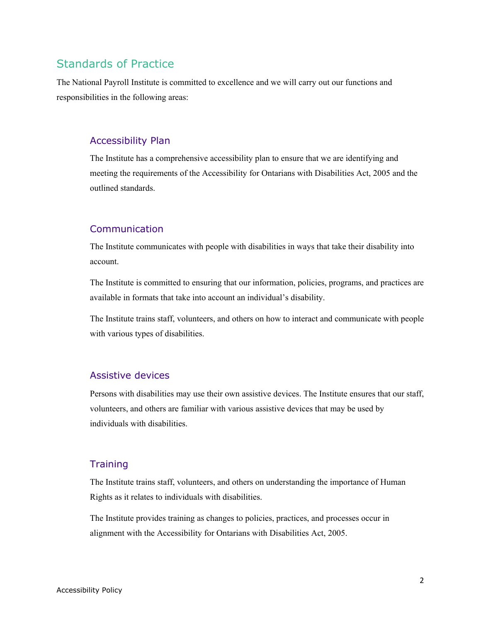### Standards of Practice

The National Payroll Institute is committed to excellence and we will carry out our functions and responsibilities in the following areas:

#### Accessibility Plan

The Institute has a comprehensive accessibility plan to ensure that we are identifying and meeting the requirements of the Accessibility for Ontarians with Disabilities Act, 2005 and the outlined standards.

#### Communication

The Institute communicates with people with disabilities in ways that take their disability into account.

The Institute is committed to ensuring that our information, policies, programs, and practices are available in formats that take into account an individual's disability.

The Institute trains staff, volunteers, and others on how to interact and communicate with people with various types of disabilities.

#### Assistive devices

Persons with disabilities may use their own assistive devices. The Institute ensures that our staff, volunteers, and others are familiar with various assistive devices that may be used by individuals with disabilities.

#### **Training**

The Institute trains staff, volunteers, and others on understanding the importance of Human Rights as it relates to individuals with disabilities.

The Institute provides training as changes to policies, practices, and processes occur in alignment with the Accessibility for Ontarians with Disabilities Act, 2005.